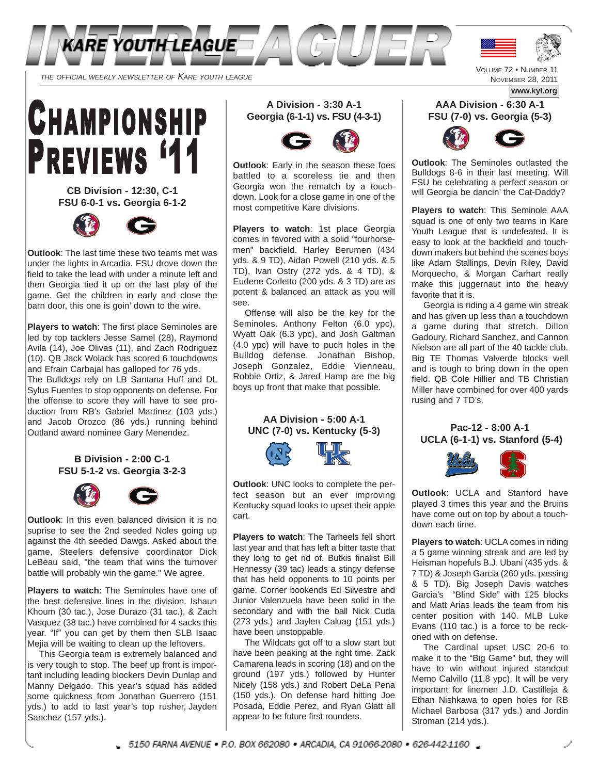

THE OFFICIAL WEEKLY NEWSLETTER OF KARE YOUTH LEAGUE



**CB Division - 12:30, C-1 FSU 6-0-1 vs. Georgia 6-1-2** 



**Outlook**: The last time these two teams met was under the lights in Arcadia. FSU drove down the field to take the lead with under a minute left and then Georgia tied it up on the last play of the game. Get the children in early and close the barn door, this one is goin' down to the wire.

**Players to watch**: The first place Seminoles are led by top tacklers Jesse Samel (28), Raymond Avila (14), Joe Olivas (11), and Zach Rodriguez (10). QB Jack Wolack has scored 6 touchdowns and Efrain Carbajal has galloped for 76 yds. The Bulldogs rely on LB Santana Huff and DL Sylus Fuentes to stop opponents on defense. For the offense to score they will have to see production from RB's Gabriel Martinez (103 yds.) and Jacob Orozco (86 yds.) running behind Outland award nominee Gary Menendez.

> **B Division - 2:00 C-1 FSU 5-1-2 vs. Georgia 3-2-3**



**Outlook**: In this even balanced division it is no suprise to see the 2nd seeded Noles going up against the 4th seeded Dawgs. Asked about the game, Steelers defensive coordinator Dick LeBeau said, "the team that wins the turnover battle will probably win the game." We agree.

**Players to watch**: The Seminoles have one of the best defensive lines in the division. Ishaun Khoum (30 tac.), Jose Durazo (31 tac.), & Zach Vasquez (38 tac.) have combined for 4 sacks this year. "If" you can get by them then SLB Isaac Mejia will be waiting to clean up the leftovers.

This Georgia team is extremely balanced and is very tough to stop. The beef up front is important including leading blockers Devin Dunlap and Manny Delgado. This year's squad has added some quickness from Jonathan Guerrero (151 yds.) to add to last year's top rusher, Jayden Sanchez (157 vds.).

**A Division - 3:30 A-1 Georgia (6-1-1) vs. FSU (4-3-1)**



**Outlook**: Early in the season these foes battled to a scoreless tie and then Georgia won the rematch by a touchdown. Look for a close game in one of the most competitive Kare divisions.

**Players to watch**: 1st place Georgia comes in favored with a solid "fourhorsemen" backfield. Harley Berumen (434 yds. & 9 TD), Aidan Powell (210 yds. & 5 TD), Ivan Ostry (272 yds. & 4 TD), & Eudene Corletto (200 yds. & 3 TD) are as potent & balanced an attack as you will see.

Offense will also be the key for the Seminoles. Anthony Felton (6.0 ypc), Wyatt Oak (6.3 ypc), and Josh Galtman (4.0 ypc) will have to puch holes in the Bulldog defense. Jonathan Bishop, Joseph Gonzalez, Eddie Vienneau, Robbie Ortiz, & Jared Hamp are the big boys up front that make that possible.





**Outlook**: UNC looks to complete the perfect season but an ever improving Kentucky squad looks to upset their apple cart.

**Players to watch**: The Tarheels fell short last year and that has left a bitter taste that they long to get rid of. Butkis finalist Bill Hennessy (39 tac) leads a stingy defense that has held opponents to 10 points per game. Corner bookends Ed Silvestre and Junior Valenzuela have been solid in the secondary and with the ball Nick Cuda (273 yds.) and Jaylen Caluag (151 yds.) have been unstoppable.

The Wildcats got off to a slow start but have been peaking at the right time. Zack Camarena leads in scoring (18) and on the ground (197 yds.) followed by Hunter Nicely (158 yds.) and Robert DeLa Pena (150 yds.). On defense hard hitting Joe Posada, Eddie Perez, and Ryan Glatt all appear to be future first rounders.

NOVEMBER 28, 2011

**www.kyl.org**

#### **AAA Division - 6:30 A-1 FSU (7-0) vs. Georgia (5-3)**



**Outlook**: The Seminoles outlasted the Bulldogs 8-6 in their last meeting. Will FSU be celebrating a perfect season or will Georgia be dancin' the Cat-Daddy?

**Players to watch**: This Seminole AAA squad is one of only two teams in Kare Youth League that is undefeated. It is easy to look at the backfield and touchdown makers but behind the scenes boys like Adam Stallings, Devin Riley, David Morquecho, & Morgan Carhart really make this juggernaut into the heavy favorite that it is.

Georgia is riding a 4 game win streak and has given up less than a touchdown a game during that stretch. Dillon Gadoury, Richard Sanchez, and Cannon Nielson are all part of the 40 tackle club. Big TE Thomas Valverde blocks well and is tough to bring down in the open field. QB Cole Hillier and TB Christian Miller have combined for over 400 yards rusing and 7 TD's.

#### **Pac-12 - 8:00 A-1 UCLA (6-1-1) vs. Stanford (5-4)**



**Outlook**: UCLA and Stanford have played 3 times this year and the Bruins have come out on top by about a touchdown each time.

**Players to watch**: UCLA comes in riding a 5 game winning streak and are led by Heisman hopefuls B.J. Ubani (435 yds. & 7 TD) & Joseph Garcia (260 yds. passing & 5 TD). Big Joseph Davis watches Garcia's "Blind Side" with 125 blocks and Matt Arias leads the team from his center position with 140. MLB Luke Evans (110 tac.) is a force to be reckoned with on defense.

The Cardinal upset USC 20-6 to make it to the "Big Game" but, they will have to win without injured standout Memo Calvillo (11.8 ypc). It will be very important for linemen J.D. Castilleja & Ethan Nishkawa to open holes for RB Michael Barbosa (317 yds.) and Jordin Stroman (214 yds.).